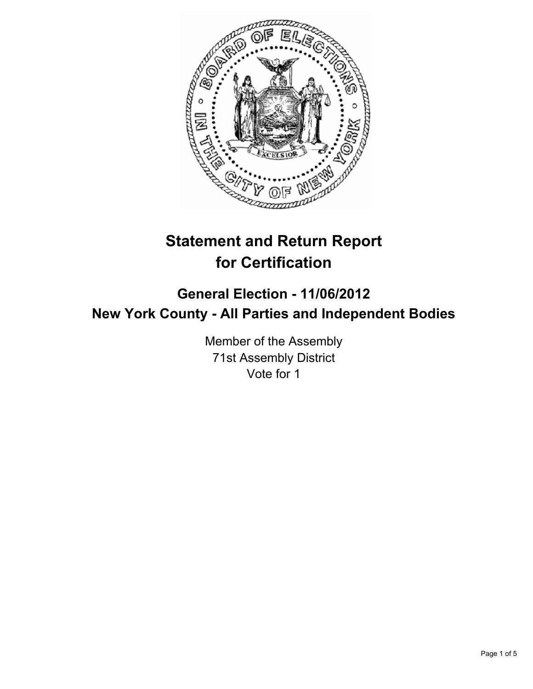

# **Statement and Return Report for Certification**

# **General Election - 11/06/2012 New York County - All Parties and Independent Bodies**

Member of the Assembly 71st Assembly District Vote for 1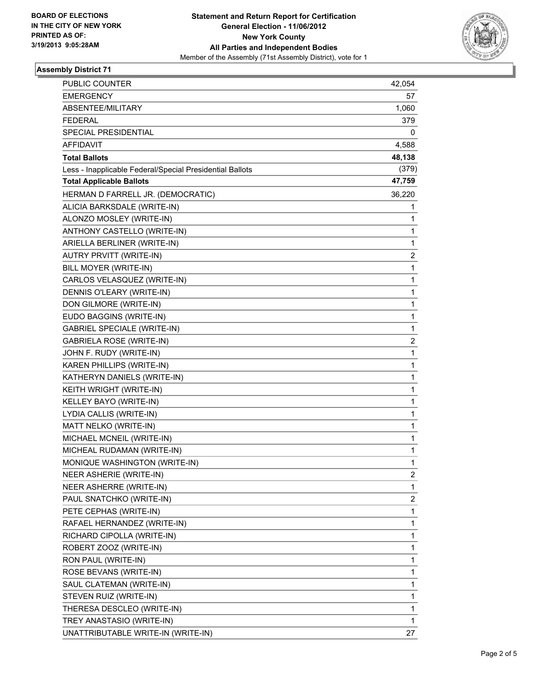

#### **Assembly District 71**

| <b>PUBLIC COUNTER</b>                                    | 42,054 |
|----------------------------------------------------------|--------|
| <b>EMERGENCY</b>                                         | 57     |
| ABSENTEE/MILITARY                                        | 1,060  |
| <b>FEDERAL</b>                                           | 379    |
| SPECIAL PRESIDENTIAL                                     | 0      |
| AFFIDAVIT                                                | 4,588  |
| <b>Total Ballots</b>                                     | 48,138 |
| Less - Inapplicable Federal/Special Presidential Ballots | (379)  |
| <b>Total Applicable Ballots</b>                          | 47,759 |
| HERMAN D FARRELL JR. (DEMOCRATIC)                        | 36,220 |
| ALICIA BARKSDALE (WRITE-IN)                              | 1      |
| ALONZO MOSLEY (WRITE-IN)                                 | 1      |
| ANTHONY CASTELLO (WRITE-IN)                              | 1      |
| ARIELLA BERLINER (WRITE-IN)                              | 1      |
| AUTRY PRVITT (WRITE-IN)                                  | 2      |
| BILL MOYER (WRITE-IN)                                    | 1      |
| CARLOS VELASQUEZ (WRITE-IN)                              | 1      |
| DENNIS O'LEARY (WRITE-IN)                                | 1      |
| DON GILMORE (WRITE-IN)                                   | 1      |
| EUDO BAGGINS (WRITE-IN)                                  | 1      |
| <b>GABRIEL SPECIALE (WRITE-IN)</b>                       | 1      |
| <b>GABRIELA ROSE (WRITE-IN)</b>                          | 2      |
| JOHN F. RUDY (WRITE-IN)                                  | 1      |
| KAREN PHILLIPS (WRITE-IN)                                | 1      |
| KATHERYN DANIELS (WRITE-IN)                              | 1      |
| KEITH WRIGHT (WRITE-IN)                                  | 1      |
| KELLEY BAYO (WRITE-IN)                                   | 1      |
| LYDIA CALLIS (WRITE-IN)                                  | 1      |
| MATT NELKO (WRITE-IN)                                    | 1      |
| MICHAEL MCNEIL (WRITE-IN)                                | 1      |
| MICHEAL RUDAMAN (WRITE-IN)                               | 1      |
| MONIQUE WASHINGTON (WRITE-IN)                            | 1      |
| NEER ASHERIE (WRITE-IN)                                  | 2      |
| NEER ASHERRE (WRITE-IN)                                  | 1      |
| PAUL SNATCHKO (WRITE-IN)                                 | 2      |
| PETE CEPHAS (WRITE-IN)                                   | 1      |
| RAFAEL HERNANDEZ (WRITE-IN)                              | 1      |
| RICHARD CIPOLLA (WRITE-IN)                               | 1      |
| ROBERT ZOOZ (WRITE-IN)                                   | 1      |
| RON PAUL (WRITE-IN)                                      | 1      |
| ROSE BEVANS (WRITE-IN)                                   | 1      |
| SAUL CLATEMAN (WRITE-IN)                                 | 1      |
| STEVEN RUIZ (WRITE-IN)                                   | 1      |
| THERESA DESCLEO (WRITE-IN)                               | 1      |
| TREY ANASTASIO (WRITE-IN)                                | 1      |
| UNATTRIBUTABLE WRITE-IN (WRITE-IN)                       | 27     |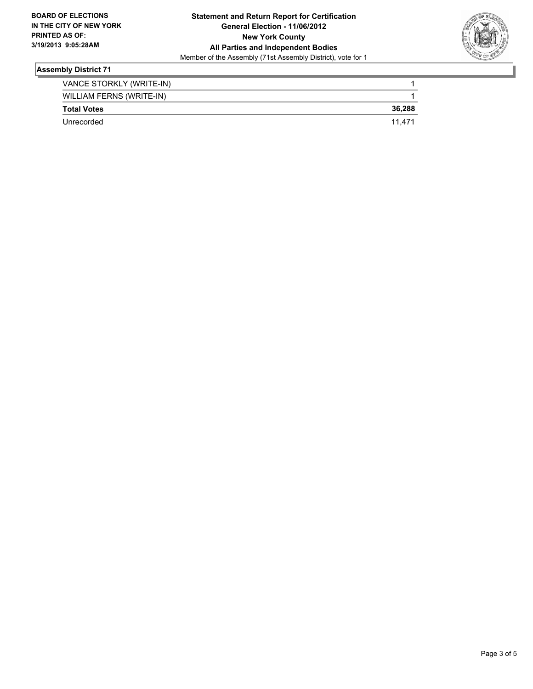

### **Assembly District 71**

| VANCE STORKLY (WRITE-IN) |        |
|--------------------------|--------|
| WILLIAM FERNS (WRITE-IN) |        |
| <b>Total Votes</b>       | 36,288 |
| Unrecorded               | 11.471 |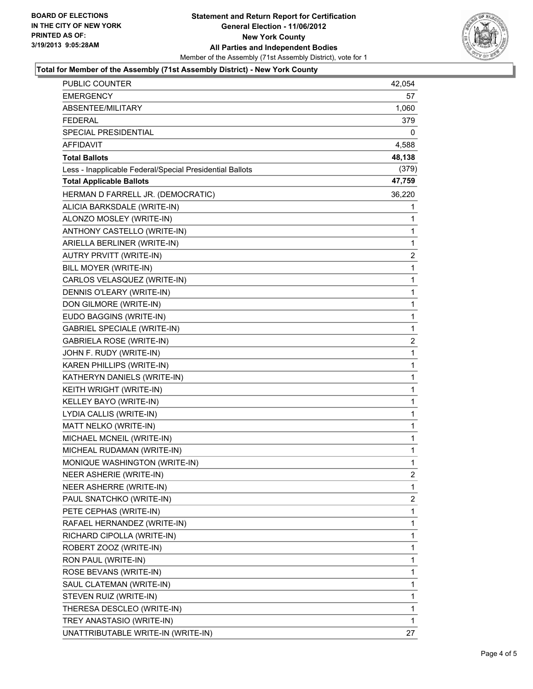

#### **Total for Member of the Assembly (71st Assembly District) - New York County**

| PUBLIC COUNTER                                           | 42,054         |
|----------------------------------------------------------|----------------|
| <b>EMERGENCY</b>                                         | 57             |
| ABSENTEE/MILITARY                                        | 1,060          |
| <b>FEDERAL</b>                                           | 379.           |
| SPECIAL PRESIDENTIAL                                     | 0              |
| AFFIDAVIT                                                | 4,588          |
| <b>Total Ballots</b>                                     | 48,138         |
| Less - Inapplicable Federal/Special Presidential Ballots | (379)          |
| <b>Total Applicable Ballots</b>                          | 47,759         |
| HERMAN D FARRELL JR. (DEMOCRATIC)                        | 36,220         |
| ALICIA BARKSDALE (WRITE-IN)                              | 1              |
| ALONZO MOSLEY (WRITE-IN)                                 | 1              |
| ANTHONY CASTELLO (WRITE-IN)                              | 1              |
| ARIELLA BERLINER (WRITE-IN)                              | 1              |
| AUTRY PRVITT (WRITE-IN)                                  | $\overline{2}$ |
| BILL MOYER (WRITE-IN)                                    | 1              |
| CARLOS VELASQUEZ (WRITE-IN)                              | 1              |
| DENNIS O'LEARY (WRITE-IN)                                | 1              |
| DON GILMORE (WRITE-IN)                                   | 1              |
| EUDO BAGGINS (WRITE-IN)                                  | $\mathbf 1$    |
| <b>GABRIEL SPECIALE (WRITE-IN)</b>                       | 1              |
| <b>GABRIELA ROSE (WRITE-IN)</b>                          | 2              |
| JOHN F. RUDY (WRITE-IN)                                  | 1              |
| KAREN PHILLIPS (WRITE-IN)                                | 1              |
| KATHERYN DANIELS (WRITE-IN)                              | 1              |
| KEITH WRIGHT (WRITE-IN)                                  | $\mathbf 1$    |
| KELLEY BAYO (WRITE-IN)                                   | 1              |
| LYDIA CALLIS (WRITE-IN)                                  | 1              |
| MATT NELKO (WRITE-IN)                                    | 1              |
| MICHAEL MCNEIL (WRITE-IN)                                | 1              |
| MICHEAL RUDAMAN (WRITE-IN)                               | 1              |
| MONIQUE WASHINGTON (WRITE-IN)                            | $\mathbf{1}$   |
| NEER ASHERIE (WRITE-IN)                                  | $\mathbf{2}$   |
| NEER ASHERRE (WRITE-IN)                                  | 1              |
| PAUL SNATCHKO (WRITE-IN)                                 | 2              |
| PETE CEPHAS (WRITE-IN)                                   | 1              |
| RAFAEL HERNANDEZ (WRITE-IN)                              | 1              |
| RICHARD CIPOLLA (WRITE-IN)                               | 1              |
| ROBERT ZOOZ (WRITE-IN)                                   | 1              |
| RON PAUL (WRITE-IN)                                      | 1              |
| ROSE BEVANS (WRITE-IN)                                   | 1              |
| SAUL CLATEMAN (WRITE-IN)                                 | 1              |
| STEVEN RUIZ (WRITE-IN)                                   | 1              |
| THERESA DESCLEO (WRITE-IN)                               | 1              |
| TREY ANASTASIO (WRITE-IN)                                | 1              |
| UNATTRIBUTABLE WRITE-IN (WRITE-IN)                       | 27             |
|                                                          |                |